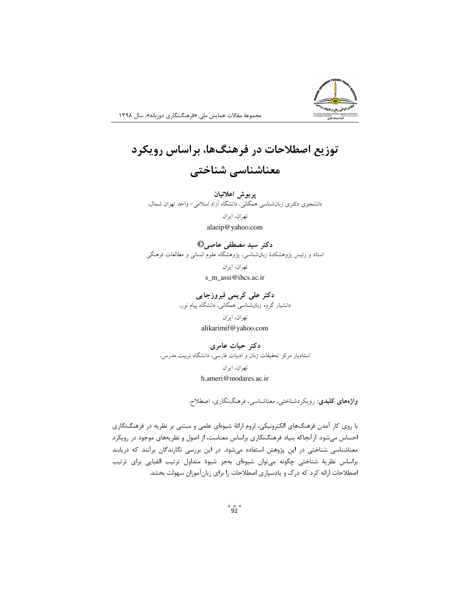

مجموعهٔ مقالات همایش ملی «فرهنگنگاری دوزبانه»، سال ۱۳۹۸

## توزیع اصطلاحات در فرهنگها، براساس رویکرد معناشناسی شناختی

يريوش اعلائيان دانشجوی دکتری زبانشناسی همگانی، دانشگاه آزاد اسلامی- واحد تهران شمال،

> تهران، ايران alaeip@yahoo.com

دکتر سید مصطفی عاصی© استاد و رئیس پژوهشکدهٔ زبانشناسی، پژوهشگاه علوم انسانی و مطالعات فرهنگی تهران، ايران s m assi@ihcs.ac.ir

> دکتر علی کریمی فیروزجایی دانشیار گروه زبانشناسی همگانی، دانشگاه پیام نور، تهران، ايران alikarimif@yahoo.com

دکتر حیات عامری استادیار مرکز تحقیقات زبان و ادبیات فارسی، دانشگاه تربیت مدرس، تهران، ايران h.ameri@modares.ac.ir

واژەهای کلیدی: رویکردشناختی، معناشناسی، فرهنگنگاری، اصطلاح.

با روی کار آمدن فرهنگهای الکترونیکی، لزوم ارائهٔ شیوهای علمی و مبتنی بر نظریه در فرهنگنگاری احساس میشود. ازآنجاکه بنیاد فرهنگنگاری براساس معناست، از اصول و نظریههای موجود در رویکرد معناشناسی شناختی در این پژوهش استفاده میشود. در این بررسی نگارندگان برآنند که دریابند براساس نظرية شناختى چگونه مىتوان شيوهاى بهجز شيوة متداول ترتيب الفبايى براى ترتيب اصطلاحات ارائه کرد که درک و یادسپاری اصطلاحات را برای زبانآموزان سهولت بخشد.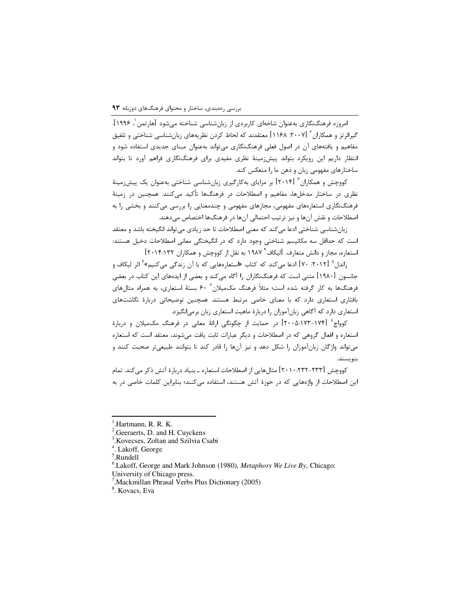امروزه فرهنگنگاری بهعنوان شاخهای کاربردی از زبانشناسی شناخته میشود [هارتمن '، ۱۹۹۶]. گیرائر تز و همکاران <sup>۲</sup> ل۱۱۶۸. ۱۱۶۸] معتقدند که لحاظ کردن نظریههای زبانشناسی شناختی و تلفیق مفاهیم و یافتههای آن در اصول فعلی فرهنگنگاری می¤واند بهعنوان مبنای جدیدی استفاده شود و انتظار داریم این رویکرد بتواند پیشزرمینهٔ نظری مفیدی برای فرهنگنگاری فراهم آورد تا بتواند ساختارهای مفهومی زبان و ذهن ما را منعکس کند.

کووچش و همکاران <sup>۳</sup> [۲۰۱۴] بر مزایای بهکارگیری زبانشناسی شناختی بهعنوان یک پیشزمینهٔ نظری در ساختار مدخلها، مفاهیم و اصطلاحات در فرهنگها تأکید میکنند. همچنین در زمینهٔ فرهنگنگاری استعارههای مفهومی، مجازهای مفهومی و چندمعنایی را بررسی میکنند و بخشی را به اصطلاحات و نقش آنها و نیز ترتیب احتمالی آنها در فرهنگها اختصاص میدهند.

زبانشناسی شناختی ادعا میکند که معنی اصطلاحات تا حد زیادی می¤واند انگیخته باشد و معتقد است که حداقل سه مکانیسم شناختی وجود دارد که در انگیختگی معانی اصطلاحات دخیل هستند: استعاره، مجاز و دانش متعارف. [ليكاف أ ١٩٨٧ به نقل از كووچش و همكاران ٢٠١۴:١٣٢]

راندل ۵ [۲۰۱۲. ۷۰] ادعا میکند که کتاب «استعارههایی که با آن زندگی میکنیم» ٔ اثر لیکاف و جانسون [۱۹۸۰] متنی است که فرهنگنگاران را آگاه میکند و بعضی از ایدههای این کتاب در بعضی فرهنگها به کار گرفته شده است؛ مثلاً فرهنگ مکمیلان ٔ ۶۰ بستهٔ استعاری، به همراه مثالهای بافتاری استعاری دارد که با معنای خاصی مرتبط هستند. همچنین توضیحاتی دربارهٔ نگاشتهای استعاری دارد که أگاهی زبانآموزان را دربارهٔ ماهیت استعاری زبان برمیانگیزد.

کوواچ^ (۱۷۴-۱۷۳-۱۰۵: ادر حمایت از چگونگی ارائهٔ معانی در فرهنگ مکمیلان و دربارهٔ استعاره و افعال گروهی که در اصطلاحات و دیگر عبارات ثابت یافت میشوند، معتقد است که استعاره میتواند واژگان زبانآموزان را شکل دهد و نیز آنها را قادر کند تا بتوانند طبیعیتر صحبت کنند و بنويسند.

کووچش [۲۳۲-۲۳۲: ۲۰۱۰] مثالِهایی از اصطلاحات استعاره ــ بنیاد دربارهٔ آتش ذکر میکند. تمام این اصطلاحات از واژههایی که در حوزهٔ آتش هستند، استفاده میکنند؛ بنابراین کلمات خاصی در به

 $\overline{a}$ 

<sup>&</sup>lt;sup>1</sup>.Hartmann, R. R. K.

<sup>2</sup> .Geeraerts, D. and H. Cuyckens

<sup>3</sup> .Kovecses, Zoltan and Szilvia Csabi

<sup>4</sup> . Lakoff, George

<sup>5</sup> .Rundell

<sup>6</sup> .Lakoff, George and Mark Johnson (1980), *Metaphors We Live By*, Chicago: University of Chicago press.

<sup>7</sup> .Mackmillan Phrasal Verbs Plus Dictionary (2005)

<sup>8</sup> . Kovacs, Eva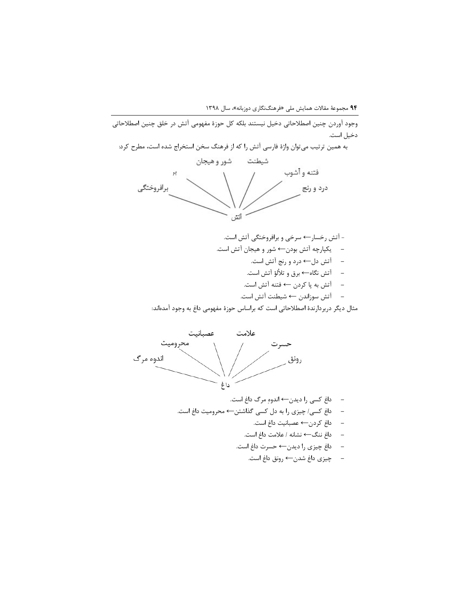۹۴ مجموعهٔ مقالات همایش ملی «فرهنگنگاری دوزبانه»، سال ۱۳۹۸

وجود آوردن چنین اصطلاحاتی دخیل نیستند بلکه کل حوزهٔ مفهومی آتش در خلق چنین اصطلاحاتی دخيل است.

به همین ترتیب میتوان واژهٔ فارسی آتش را که از فرهنگ سخن استخراج شده است، مطرح کرد: شيطنت شور وهيجان فتنه وأشوب 72 برافروختگى درد و رتج أتش

مثال دیگر دربردارندهٔ اصطلاحاتی است که براساس حوزهٔ مفهومی داغ به وجود آمدهاند:



- − داغ کسی را دیدن← اندوهِ مرگ داغ است.
- داغ کسی/ چیزی را به دل کسی گذاشتن← محرومیت داغ است.
	- − داغ کردن← عصبانیت داغ است.
	- − داغ ننگ← نشانه / علامت داغ است.
	- داغ چیزی را دیدن← حسرت داغ است.
		- − چیزی داغ شدن← رونق داغ است.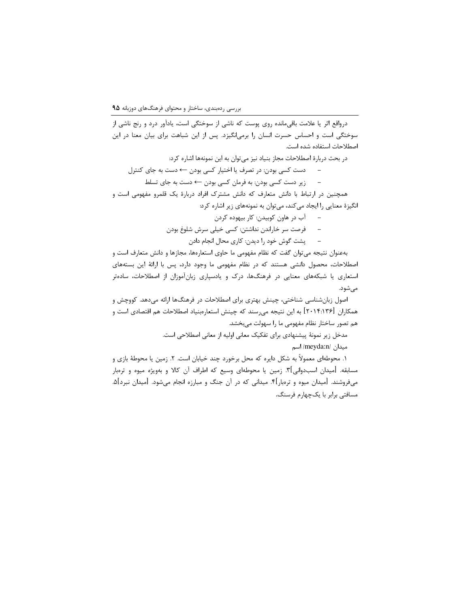درواقع اثر یا علامت باقی مانده روی پوست که ناشی از سوختگی است، یادآور درد و رنج ناشی از سوختگی است و احساس حسرت انسان را برمیانگیزد. پس از این شباهت برای بیان معنا در این اصطلاحات استفاده شده است.

در بحث دربارهٔ اصطلاحات مجاز بنیاد نیز میتوان به این نمونهها اشاره کرد:

دست کسی بودن: در تصرف یا اختیار کسی بودن ← دست به جای کنترل

زیر دست کسی بودن: به فرمان کسی بودن ← دست به جای تسلط همچنین در ارتباط با دانش متعارف که دانش مشترک افراد دربارهٔ یک قلمرو مفهومی است و انگیزهٔ معنایی را ایجاد میکند، میتوان به نمونههای زیر اشاره کرد:

– آب در هاون کوبیدن: کار بیهوده کردن

– فرصت سر خاراندن نداشتن: کسی خیلی سرش شلوغ بودن

پشت گوش خود را دیدن: کاری محال انجام دادن

بهعنوان نتیجه میتوان گفت که نظام مفهومی ما حاوی استعارهها، مجازها و دانش متعارف است و اصطلاحات، محصول دانشی هستند که در نظام مفهومی ما وجود دارد، پس با ارائهٔ این بستههای استعاری یا شبکههای معنایی در فرهنگها، درک و یادسپاری زبانآموزان از اصطلاحات، سادهتر مىشود.

اصول زبانشناسی شناختی، چینش بهتری برای اصطلاحات در فرهنگها ارائه میدهد. کووچش و همکاران [۲۰۱۴:۱۳۶] به این نتیجه میرسند که چینش استعارمبنیاد اصطلاحات هم اقتصادی است و هم تصور ساختار نظام مفهومی ما را سهولت میبخشد.

مدخل زیر نمونهٔ پیشنهادی برای تفکیک معانی اولیه از معانی اصطلاحی است.

میدان /meyda:n/ اسم

۱. محوطهای معمولاً به شکل دایره که محل برخورد چند خیابان است. ۲. زمین یا محوطهٔ بازی و مسابقه. [میدان اسبدوانی]۳. زمین یا محوطهای وسیع که اطراف آن کالا و بهویژه میوه و ترمبار میفروشند. [میدان میوه و ترەبار]۴. میدانی که در آن جنگ و مبارزه انجام میشود. [میدان نبرد]۵. مسافتی برابر با یکچهارم فرسنگ.